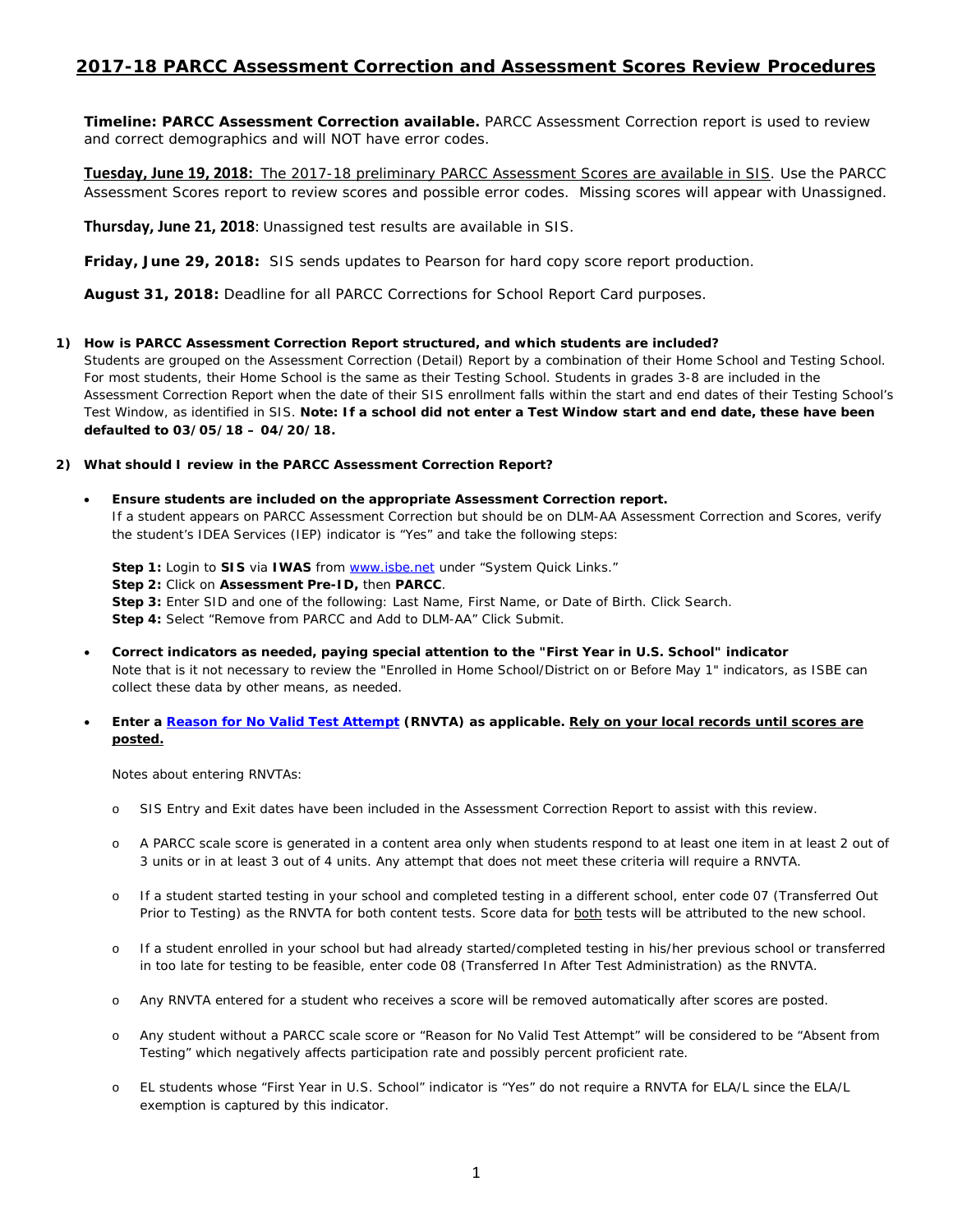# **2017-18 PARCC Assessment Correction and Assessment Scores Review Procedures**

**Timeline: PARCC Assessment Correction available.** PARCC Assessment Correction report is used to review and correct demographics and will NOT have error codes.

**Tuesday, June 19, 2018:** The 2017-18 preliminary PARCC Assessment Scores are available in SIS. Use the PARCC Assessment Scores report to review scores and possible error codes. Missing scores will appear with Unassigned.

**Thursday, June 21, 2018**: Unassigned test results are available in SIS.

**Friday, June 29, 2018:** SIS sends updates to Pearson for hard copy score report production.

**August 31, 2018:** Deadline for all PARCC Corrections for School Report Card purposes.

## **1) How is PARCC Assessment Correction Report structured, and which students are included?**

Students are grouped on the Assessment Correction (Detail) Report by a combination of their Home School and Testing School. For most students, their Home School is the same as their Testing School. Students in grades 3-8 are included in the Assessment Correction Report when the date of their SIS enrollment falls within the start and end dates of their Testing School's Test Window, as identified in SIS. *Note: If a school did not enter a Test Window start and end date, these have been defaulted to 03/05/18 – 04/20/18.*

## **2) What should I review in the PARCC Assessment Correction Report?**

## • **Ensure students are included on the appropriate Assessment Correction report.** If a student appears on PARCC Assessment Correction but should be on DLM-AA Assessment Correction and Scores, verify the student's IDEA Services (IEP) indicator is "Yes" and take the following steps:

**Step 1:** Login to **SIS** via **IWAS** from [www.isbe.net](http://www.isbe.net/) under "System Quick Links." **Step 2:** Click on **Assessment Pre-ID,** then **PARCC**. **Step 3:** Enter SID and one of the following: Last Name, First Name, or Date of Birth. Click Search. **Step 4:** Select "Remove from PARCC and Add to DLM-AA" Click Submit.

• **Correct indicators as needed, paying special attention to the "First Year in U.S. School" indicator** *Note that is it not necessary to review the "Enrolled in Home School/District on or Before May 1" indicators, as ISBE can collect these data by other means, as needed.*

## • **Enter a [Reason for No Valid Test Attempt](https://www.isbe.net/Documents/reason-no-valid-test-attmpt.pdf) (RNVTA) as applicable. Rely on your local records until scores are posted.**

*Notes about entering RNVTAs:*

- o *SIS Entry and Exit dates have been included in the Assessment Correction Report to assist with this review.*
- o *A PARCC scale score is generated in a content area only when students respond to at least one item in at least 2 out of 3 units or in at least 3 out of 4 units. Any attempt that does not meet these criteria will require a RNVTA.*
- o *If a student started testing in your school and completed testing in a different school, enter code 07 (Transferred Out Prior to Testing) as the RNVTA for both content tests. Score data for both tests will be attributed to the new school.*
- o *If a student enrolled in your school but had already started/completed testing in his/her previous school or transferred in too late for testing to be feasible, enter code 08 (Transferred In After Test Administration) as the RNVTA.*
- o *Any RNVTA entered for a student who receives a score will be removed automatically after scores are posted.*
- o *Any student without a PARCC scale score or "Reason for No Valid Test Attempt" will be considered to be "Absent from Testing" which negatively affects participation rate and possibly percent proficient rate.*
- o *EL students whose "First Year in U.S. School" indicator is "Yes" do not require a RNVTA for ELA/L since the ELA/L exemption is captured by this indicator.*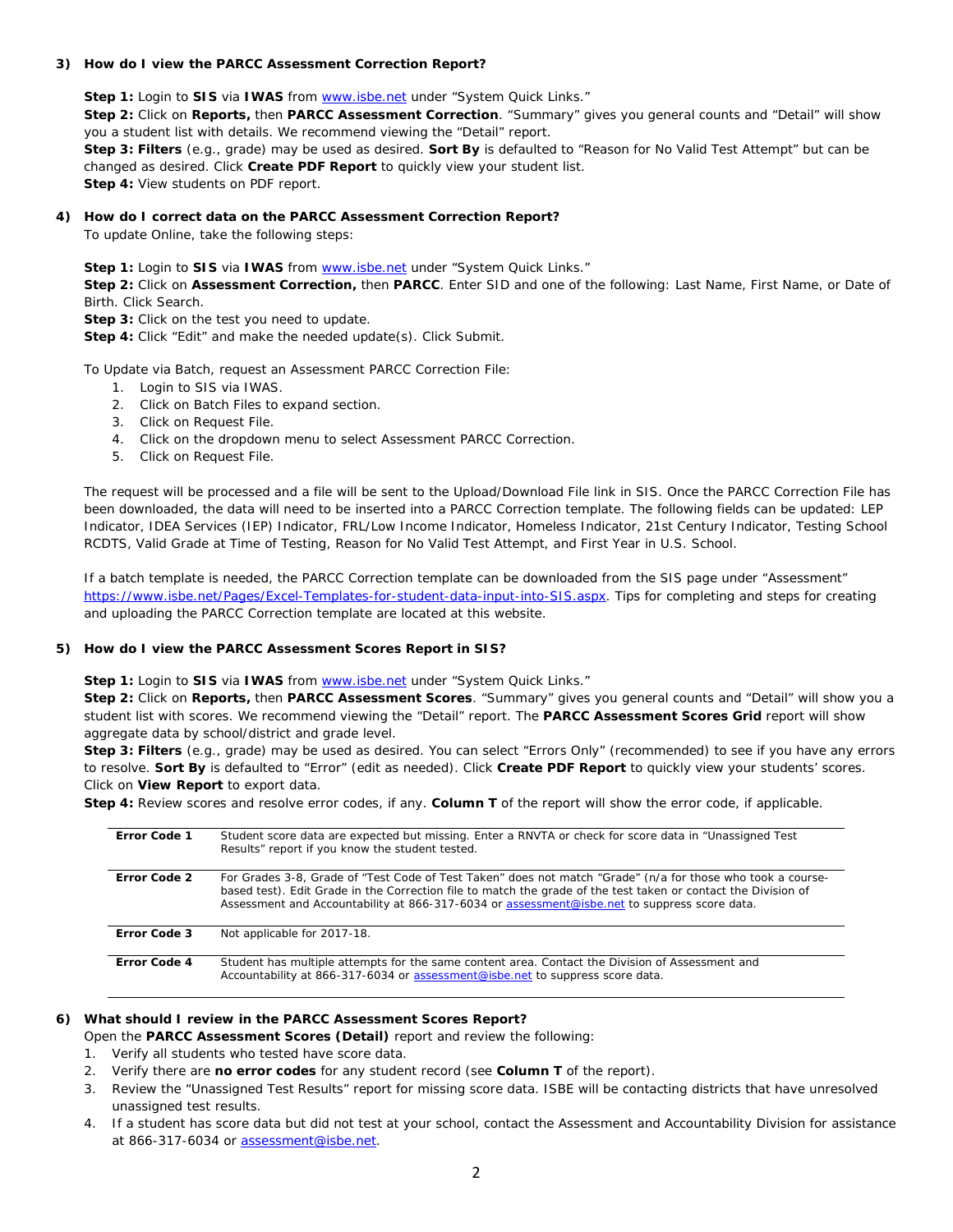#### **3) How do I view the PARCC Assessment Correction Report?**

**Step 1:** Login to **SIS** via **IWAS** fro[m www.isbe.net](http://www.isbe.net/) under "System Quick Links."

**Step 2:** Click on **Reports,** then **PARCC Assessment Correction**. "Summary" gives you general counts and "Detail" will show you a student list with details. We recommend viewing the "Detail" report.

**Step 3: Filters** (e.g., grade) may be used as desired. **Sort By** is defaulted to "Reason for No Valid Test Attempt" but can be changed as desired. Click **Create PDF Report** to quickly view your student list. **Step 4:** View students on PDF report.

**4) How do I correct data on the PARCC Assessment Correction Report?** 

To update Online, take the following steps:

**Step 1:** Login to **SIS** via **IWAS** fro[m www.isbe.net](http://www.isbe.net/) under "System Quick Links."

**Step 2:** Click on **Assessment Correction,** then **PARCC**. Enter SID and one of the following: Last Name, First Name, or Date of Birth. Click Search.

**Step 3:** Click on the test you need to update.

**Step 4:** Click "Edit" and make the needed update(s). Click Submit.

To Update via Batch, request an Assessment PARCC Correction File:

- 1. Login to SIS via IWAS.
- 2. Click on Batch Files to expand section.
- 3. Click on Request File.
- 4. Click on the dropdown menu to select Assessment PARCC Correction.
- 5. Click on Request File.

The request will be processed and a file will be sent to the Upload/Download File link in SIS. Once the PARCC Correction File has been downloaded, the data will need to be inserted into a PARCC Correction template. The following fields can be updated: LEP Indicator, IDEA Services (IEP) Indicator, FRL/Low Income Indicator, Homeless Indicator, 21st Century Indicator, Testing School RCDTS, Valid Grade at Time of Testing, Reason for No Valid Test Attempt, and First Year in U.S. School.

If a batch template is needed, the PARCC Correction template can be downloaded from the SIS page under "Assessment" [https://www.isbe.net/Pages/Excel-Templates-for-student-data-input-into-SIS.aspx.](https://www.isbe.net/Pages/Excel-Templates-for-student-data-input-into-SIS.aspx) Tips for completing and steps for creating and uploading the PARCC Correction template are located at this website.

#### **5) How do I view the PARCC Assessment Scores Report in SIS?**

**Step 1:** Login to **SIS** via **IWAS** fro[m www.isbe.net](http://www.isbe.net/) under "System Quick Links."

**Step 2:** Click on **Reports,** then **PARCC Assessment Scores**. "Summary" gives you general counts and "Detail" will show you a student list with scores. We recommend viewing the "Detail" report. The **PARCC Assessment Scores Grid** report will show aggregate data by school/district and grade level.

**Step 3: Filters** (e.g., grade) may be used as desired. You can select "Errors Only" (recommended) to see if you have any errors to resolve. **Sort By** is defaulted to "Error" (edit as needed). Click **Create PDF Report** to quickly view your students' scores. Click on **View Report** to export data.

**Step 4:** Review scores and resolve error codes, if any. **Column T** of the report will show the error code, if applicable.

| Error Code 1 | Student score data are expected but missing. Enter a RNVTA or check for score data in "Unassigned Test"<br>Results" report if you know the student tested.                                                                                                                                                                    |
|--------------|-------------------------------------------------------------------------------------------------------------------------------------------------------------------------------------------------------------------------------------------------------------------------------------------------------------------------------|
| Error Code 2 | For Grades 3-8, Grade of "Test Code of Test Taken" does not match "Grade" (n/a for those who took a course-<br>based test). Edit Grade in the Correction file to match the grade of the test taken or contact the Division of<br>Assessment and Accountability at 866-317-6034 or assessment@isbe.net to suppress score data. |
| Error Code 3 | Not applicable for 2017-18.                                                                                                                                                                                                                                                                                                   |
| Error Code 4 | Student has multiple attempts for the same content area. Contact the Division of Assessment and<br>Accountability at 866-317-6034 or assessment@isbe.net to suppress score data.                                                                                                                                              |

## **6) What should I review in the PARCC Assessment Scores Report?**

Open the **PARCC Assessment Scores (Detail)** report and review the following:

- 1. Verify all students who tested have score data.
- 2. Verify there are **no error codes** for any student record (see **Column T** of the report).
- 3. Review the "Unassigned Test Results" report for missing score data. ISBE will be contacting districts that have unresolved unassigned test results.
- 4. If a student has score data but did not test at your school, contact the Assessment and Accountability Division for assistance at 866-317-6034 or [assessment@isbe.net.](mailto:assessment@isbe.net)